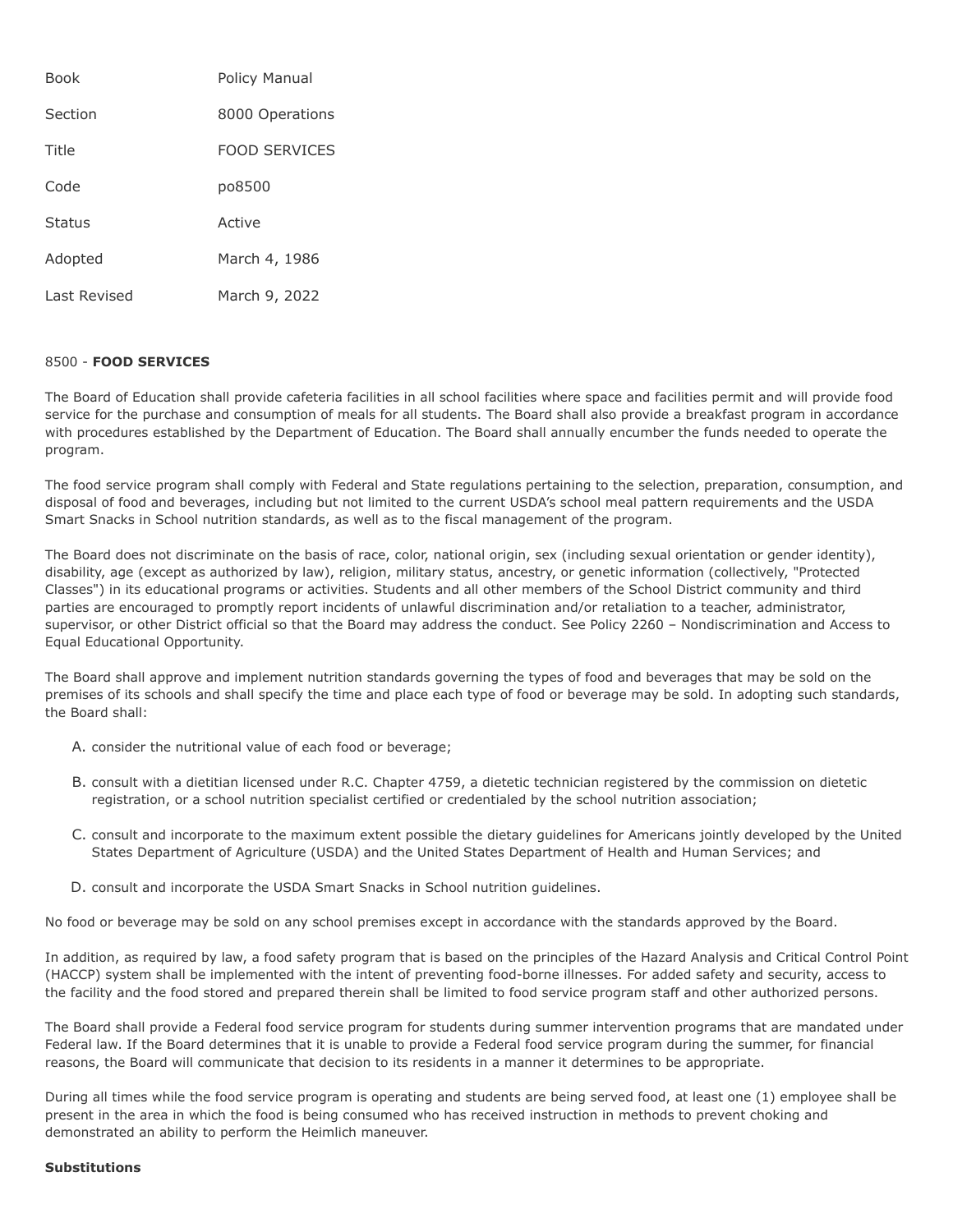| <b>Book</b>  | Policy Manual        |
|--------------|----------------------|
| Section      | 8000 Operations      |
| Title        | <b>FOOD SERVICES</b> |
| Code         | po8500               |
| Status       | Active               |
| Adopted      | March 4, 1986        |
| Last Revised | March 9, 2022        |

## 8500 - **FOOD SERVICES**

The Board of Education shall provide cafeteria facilities in all school facilities where space and facilities permit and will provide food service for the purchase and consumption of meals for all students. The Board shall also provide a breakfast program in accordance with procedures established by the Department of Education. The Board shall annually encumber the funds needed to operate the program.

The food service program shall comply with Federal and State regulations pertaining to the selection, preparation, consumption, and disposal of food and beverages, including but not limited to the current USDA's school meal pattern requirements and the USDA Smart Snacks in School nutrition standards, as well as to the fiscal management of the program.

The Board does not discriminate on the basis of race, color, national origin, sex (including sexual orientation or gender identity), disability, age (except as authorized by law), religion, military status, ancestry, or genetic information (collectively, "Protected Classes") in its educational programs or activities. Students and all other members of the School District community and third parties are encouraged to promptly report incidents of unlawful discrimination and/or retaliation to a teacher, administrator, supervisor, or other District official so that the Board may address the conduct. See Policy 2260 – Nondiscrimination and Access to Equal Educational Opportunity.

The Board shall approve and implement nutrition standards governing the types of food and beverages that may be sold on the premises of its schools and shall specify the time and place each type of food or beverage may be sold. In adopting such standards, the Board shall:

- A. consider the nutritional value of each food or beverage;
- B. consult with a dietitian licensed under R.C. Chapter 4759, a dietetic technician registered by the commission on dietetic registration, or a school nutrition specialist certified or credentialed by the school nutrition association;
- C. consult and incorporate to the maximum extent possible the dietary guidelines for Americans jointly developed by the United States Department of Agriculture (USDA) and the United States Department of Health and Human Services; and
- D. consult and incorporate the USDA Smart Snacks in School nutrition guidelines.

No food or beverage may be sold on any school premises except in accordance with the standards approved by the Board.

In addition, as required by law, a food safety program that is based on the principles of the Hazard Analysis and Critical Control Point (HACCP) system shall be implemented with the intent of preventing food-borne illnesses. For added safety and security, access to the facility and the food stored and prepared therein shall be limited to food service program staff and other authorized persons.

The Board shall provide a Federal food service program for students during summer intervention programs that are mandated under Federal law. If the Board determines that it is unable to provide a Federal food service program during the summer, for financial reasons, the Board will communicate that decision to its residents in a manner it determines to be appropriate.

During all times while the food service program is operating and students are being served food, at least one (1) employee shall be present in the area in which the food is being consumed who has received instruction in methods to prevent choking and demonstrated an ability to perform the Heimlich maneuver.

## **Substitutions**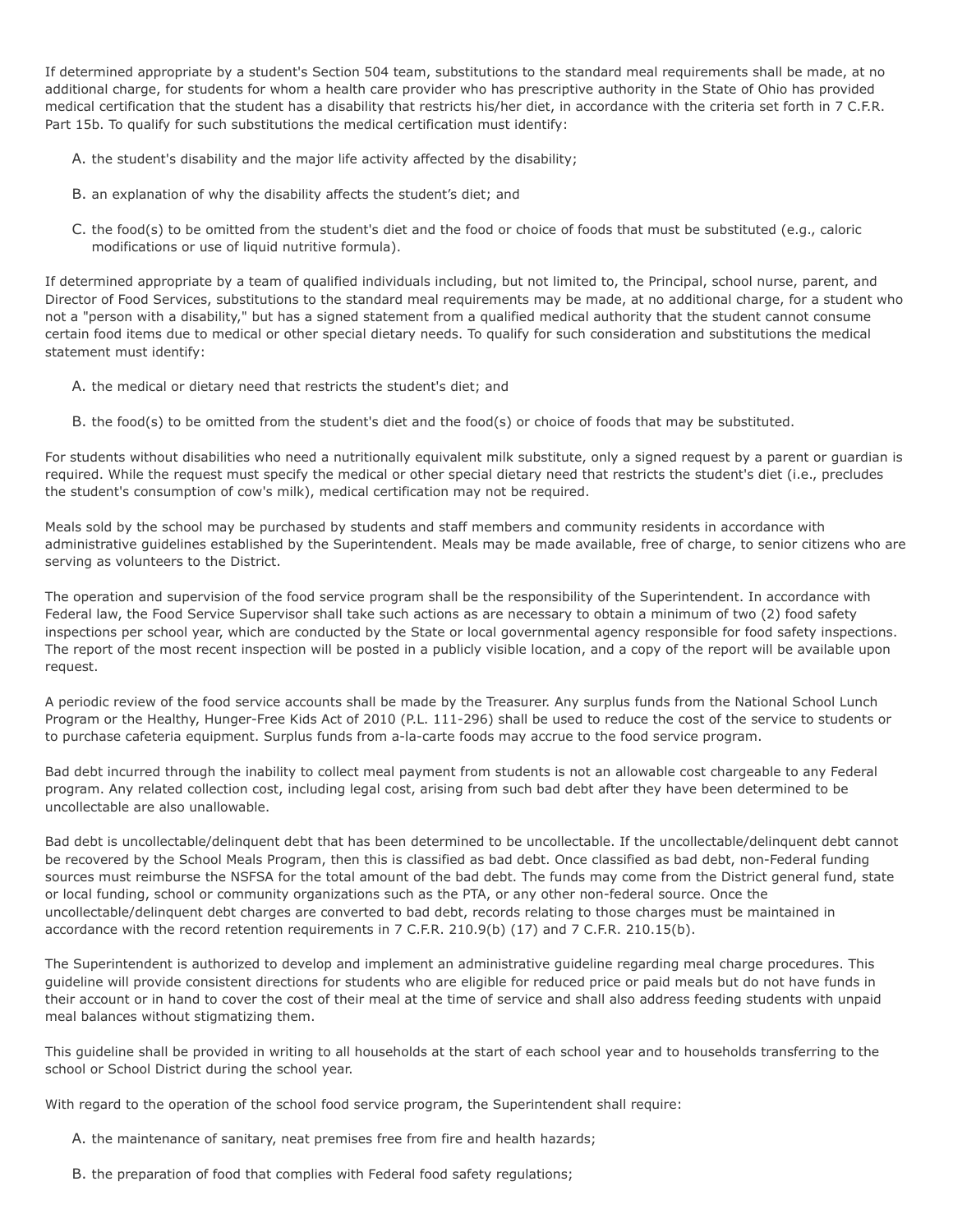If determined appropriate by a student's Section 504 team, substitutions to the standard meal requirements shall be made, at no additional charge, for students for whom a health care provider who has prescriptive authority in the State of Ohio has provided medical certification that the student has a disability that restricts his/her diet, in accordance with the criteria set forth in 7 C.F.R. Part 15b. To qualify for such substitutions the medical certification must identify:

- A. the student's disability and the major life activity affected by the disability;
- B. an explanation of why the disability affects the student's diet; and
- C. the food(s) to be omitted from the student's diet and the food or choice of foods that must be substituted (e.g., caloric modifications or use of liquid nutritive formula).

If determined appropriate by a team of qualified individuals including, but not limited to, the Principal, school nurse, parent, and Director of Food Services, substitutions to the standard meal requirements may be made, at no additional charge, for a student who not a "person with a disability," but has a signed statement from a qualified medical authority that the student cannot consume certain food items due to medical or other special dietary needs. To qualify for such consideration and substitutions the medical statement must identify:

- A. the medical or dietary need that restricts the student's diet; and
- B. the food(s) to be omitted from the student's diet and the food(s) or choice of foods that may be substituted.

For students without disabilities who need a nutritionally equivalent milk substitute, only a signed request by a parent or guardian is required. While the request must specify the medical or other special dietary need that restricts the student's diet (i.e., precludes the student's consumption of cow's milk), medical certification may not be required.

Meals sold by the school may be purchased by students and staff members and community residents in accordance with administrative guidelines established by the Superintendent. Meals may be made available, free of charge, to senior citizens who are serving as volunteers to the District.

The operation and supervision of the food service program shall be the responsibility of the Superintendent. In accordance with Federal law, the Food Service Supervisor shall take such actions as are necessary to obtain a minimum of two (2) food safety inspections per school year, which are conducted by the State or local governmental agency responsible for food safety inspections. The report of the most recent inspection will be posted in a publicly visible location, and a copy of the report will be available upon request.

A periodic review of the food service accounts shall be made by the Treasurer. Any surplus funds from the National School Lunch Program or the Healthy, Hunger-Free Kids Act of 2010 (P.L. 111-296) shall be used to reduce the cost of the service to students or to purchase cafeteria equipment. Surplus funds from a-la-carte foods may accrue to the food service program.

Bad debt incurred through the inability to collect meal payment from students is not an allowable cost chargeable to any Federal program. Any related collection cost, including legal cost, arising from such bad debt after they have been determined to be uncollectable are also unallowable.

Bad debt is uncollectable/delinquent debt that has been determined to be uncollectable. If the uncollectable/delinquent debt cannot be recovered by the School Meals Program, then this is classified as bad debt. Once classified as bad debt, non-Federal funding sources must reimburse the NSFSA for the total amount of the bad debt. The funds may come from the District general fund, state or local funding, school or community organizations such as the PTA, or any other non-federal source. Once the uncollectable/delinquent debt charges are converted to bad debt, records relating to those charges must be maintained in accordance with the record retention requirements in 7 C.F.R. 210.9(b) (17) and 7 C.F.R. 210.15(b).

The Superintendent is authorized to develop and implement an administrative guideline regarding meal charge procedures. This guideline will provide consistent directions for students who are eligible for reduced price or paid meals but do not have funds in their account or in hand to cover the cost of their meal at the time of service and shall also address feeding students with unpaid meal balances without stigmatizing them.

This guideline shall be provided in writing to all households at the start of each school year and to households transferring to the school or School District during the school year.

With regard to the operation of the school food service program, the Superintendent shall require:

- A. the maintenance of sanitary, neat premises free from fire and health hazards;
- B. the preparation of food that complies with Federal food safety regulations;